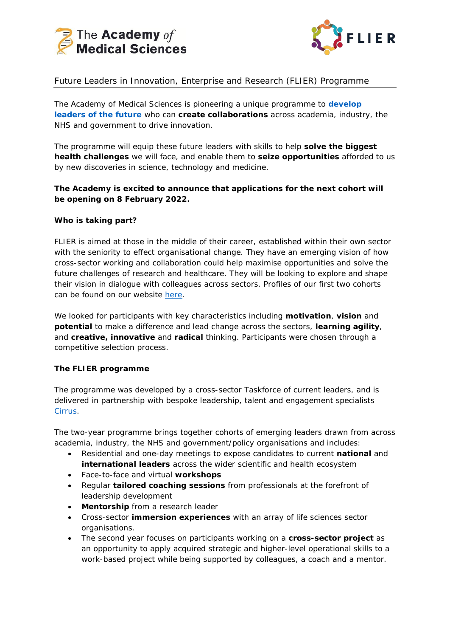



# Future Leaders in Innovation, Enterprise and Research (FLIER) Programme

The Academy of Medical Sciences is pioneering a unique programme to **[develop](https://acmedsci.ac.uk/grants-and-schemes/mentoring-and-other-schemes/FLIER/flier-round-1-participants) [leaders of the future](https://acmedsci.ac.uk/grants-and-schemes/mentoring-and-other-schemes/FLIER/flier-round-1-participants)** who can **create collaborations** across academia, industry, the NHS and government to drive innovation.

The programme will equip these future leaders with skills to help **solve the biggest health challenges** we will face, and enable them to **seize opportunities** afforded to us by new discoveries in science, technology and medicine.

# **The Academy is excited to announce that applications for the next cohort will be opening on 8 February 2022.**

### **Who is taking part?**

FLIER is aimed at those in the middle of their career, established within their own sector with the seniority to effect organisational change. They have an emerging vision of how cross-sector working and collaboration could help maximise opportunities and solve the future challenges of research and healthcare. They will be looking to explore and shape their vision in dialogue with colleagues across sectors. Profiles of our first two cohorts can be found on our website [here.](https://acmedsci.ac.uk/grants-and-schemes/mentoring-and-other-schemes/FLIER)

We looked for participants with key characteristics including **motivation**, **vision** and **potential** to make a difference and lead change across the sectors, **learning agility**, and **creative, innovative** and **radical** thinking. Participants were chosen through a competitive selection process.

#### **The FLIER programme**

The programme was developed by a cross-sector Taskforce of current leaders, and is delivered in partnership with bespoke leadership, talent and engagement specialists [Cirrus.](http://cirrus-connect.com/)

The two-year programme brings together cohorts of emerging leaders drawn from across academia, industry, the NHS and government/policy organisations and includes:

- Residential and one-day meetings to expose candidates to current **national** and **international leaders** across the wider scientific and health ecosystem
- Face-to-face and virtual **workshops**
- Regular **tailored coaching sessions** from professionals at the forefront of leadership development
- **Mentorship** from a research leader
- Cross-sector **immersion experiences** with an array of life sciences sector organisations.
- The second year focuses on participants working on a **cross-sector project** as an opportunity to apply acquired strategic and higher-level operational skills to a work-based project while being supported by colleagues, a coach and a mentor.